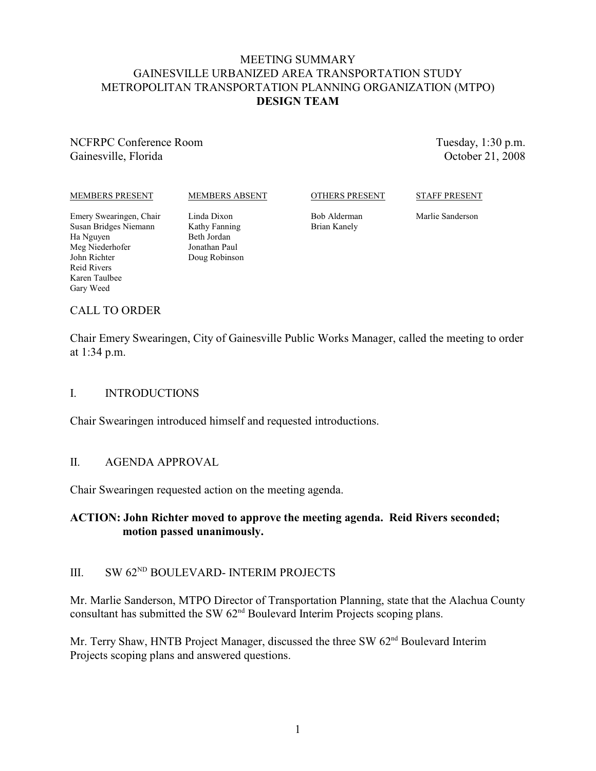# MEETING SUMMARY GAINESVILLE URBANIZED AREA TRANSPORTATION STUDY METROPOLITAN TRANSPORTATION PLANNING ORGANIZATION (MTPO) **DESIGN TEAM**

NCFRPC Conference Room Gainesville, Florida

Tuesday, 1:30 p.m. October 21, 2008

#### MEMBERS PRESENT

#### MEMBERS ABSENT

OTHERS PRESENT

STAFF PRESENT

Emery Swearingen, Chair Susan Bridges Niemann Ha Nguyen Meg Niederhofer John Richter Reid Rivers Karen Taulbee Gary Weed

Linda Dixon Kathy Fanning Beth Jordan Jonathan Paul Doug Robinson Bob Alderman Brian Kanely

Marlie Sanderson

## CALL TO ORDER

Chair Emery Swearingen, City of Gainesville Public Works Manager, called the meeting to order at 1:34 p.m.

#### I. INTRODUCTIONS

Chair Swearingen introduced himself and requested introductions.

#### II. AGENDA APPROVAL

Chair Swearingen requested action on the meeting agenda.

# **ACTION: John Richter moved to approve the meeting agenda. Reid Rivers seconded; motion passed unanimously.**

# III. SW  $62<sup>ND</sup> BOULEVARD-INTERIM PROJECTS$

Mr. Marlie Sanderson, MTPO Director of Transportation Planning, state that the Alachua County consultant has submitted the SW  $62<sup>nd</sup>$  Boulevard Interim Projects scoping plans.

Mr. Terry Shaw, HNTB Project Manager, discussed the three SW 62<sup>nd</sup> Boulevard Interim Projects scoping plans and answered questions.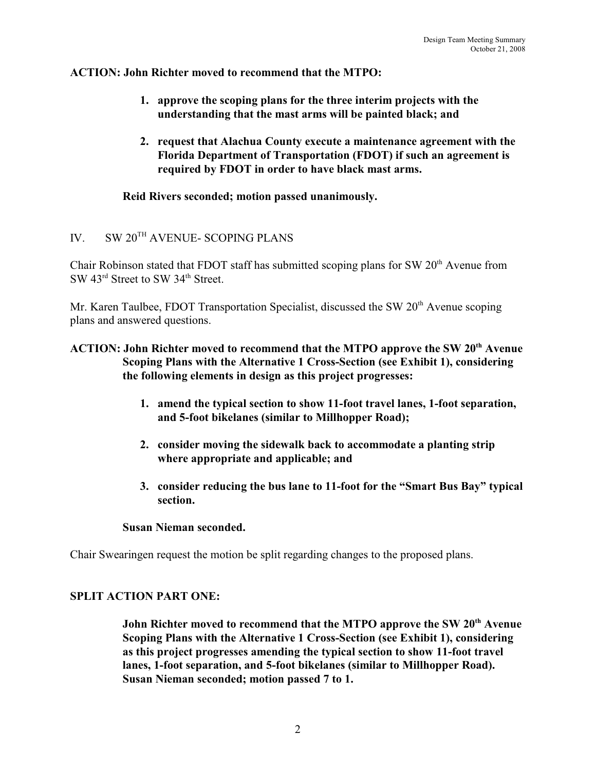# **ACTION: John Richter moved to recommend that the MTPO:**

- **1. approve the scoping plans for the three interim projects with the understanding that the mast arms will be painted black; and**
- **2. request that Alachua County execute a maintenance agreement with the Florida Department of Transportation (FDOT) if such an agreement is required by FDOT in order to have black mast arms.**

**Reid Rivers seconded; motion passed unanimously.**

# IV. SW  $20^{TH}$  AVENUE- SCOPING PLANS

Chair Robinson stated that FDOT staff has submitted scoping plans for SW  $20<sup>th</sup>$  Avenue from SW 43<sup>rd</sup> Street to SW 34<sup>th</sup> Street.

Mr. Karen Taulbee, FDOT Transportation Specialist, discussed the SW  $20<sup>th</sup>$  Avenue scoping plans and answered questions.

# ACTION: John Richter moved to recommend that the MTPO approve the SW 20<sup>th</sup> Avenue **Scoping Plans with the Alternative 1 Cross-Section (see Exhibit 1), considering the following elements in design as this project progresses:**

- **1. amend the typical section to show 11-foot travel lanes, 1-foot separation, and 5-foot bikelanes (similar to Millhopper Road);**
- **2. consider moving the sidewalk back to accommodate a planting strip where appropriate and applicable; and**
- **3. consider reducing the bus lane to 11-foot for the "Smart Bus Bay" typical section.**

#### **Susan Nieman seconded.**

Chair Swearingen request the motion be split regarding changes to the proposed plans.

# **SPLIT ACTION PART ONE:**

John Richter moved to recommend that the MTPO approve the SW 20<sup>th</sup> Avenue **Scoping Plans with the Alternative 1 Cross-Section (see Exhibit 1), considering as this project progresses amending the typical section to show 11-foot travel lanes, 1-foot separation, and 5-foot bikelanes (similar to Millhopper Road). Susan Nieman seconded; motion passed 7 to 1.**